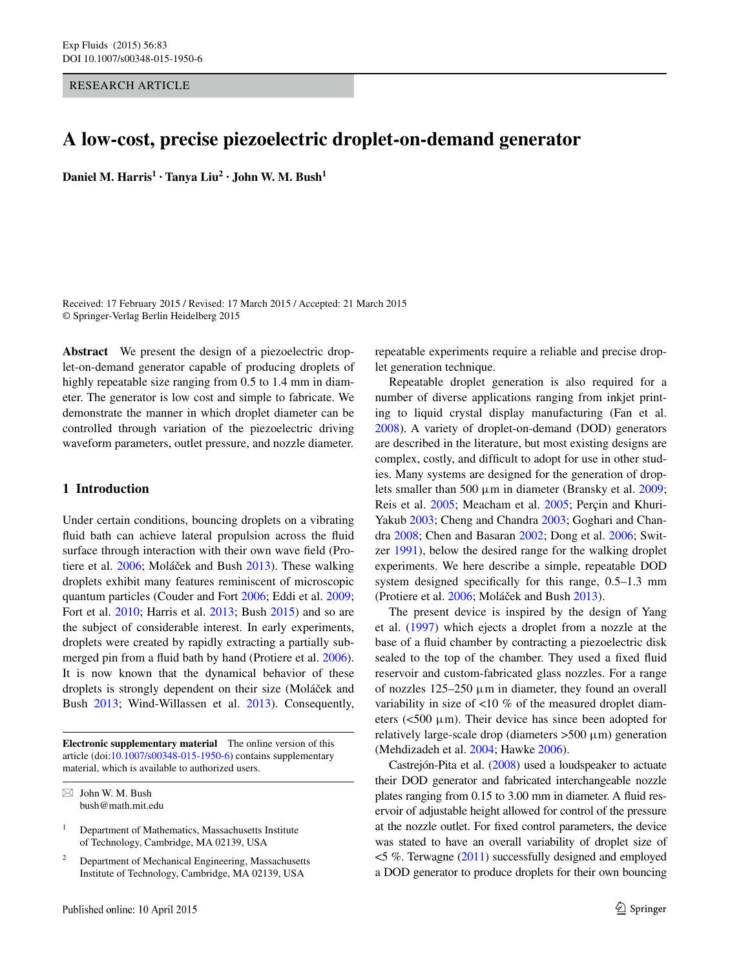RESEARCH ARTICLE

# **A low‑cost, precise piezoelectric droplet‑on‑demand generator**

**Daniel M. Harris<sup>1</sup> <b>· Tanya**  $\text{Liu}^2$  **· John W. M. Bush**<sup>1</sup>

Received: 17 February 2015 / Revised: 17 March 2015 / Accepted: 21 March 2015 © Springer-Verlag Berlin Heidelberg 2015

**Abstract** We present the design of a piezoelectric droplet-on-demand generator capable of producing droplets of highly repeatable size ranging from 0.5 to 1.4 mm in diameter. The generator is low cost and simple to fabricate. We demonstrate the manner in which droplet diameter can be controlled through variation of the piezoelectric driving waveform parameters, outlet pressure, and nozzle diameter.

## **1 Introduction**

Under certain conditions, bouncing droplets on a vibrating fluid bath can achieve lateral propulsion across the fluid surface through interaction with their own wave field (Pro-tiere et al. [2006](#page-6-8); Moláček and Bush [2013\)](#page-6-9). These walking droplets exhibit many features reminiscent of microscopic quantum particles (Couder and Fort [2006](#page-6-14); Eddi et al. [2009](#page-6-15); Fort et al. [2010;](#page-6-16) Harris et al. [2013](#page-6-17); Bush [2015\)](#page-5-3) and so are the subject of considerable interest. In early experiments, droplets were created by rapidly extracting a partially submerged pin from a fluid bath by hand (Protiere et al. [2006](#page-6-8)). It is now known that the dynamical behavior of these droplets is strongly dependent on their size (Moláček and Bush [2013;](#page-6-9) Wind-Willassen et al. [2013](#page-6-18)). Consequently,

**Electronic supplementary material** The online version of this article (doi[:10.1007/s00348-015-1950-6](http://dx.doi.org/10.1007/s00348-015-1950-6)) contains supplementary material, which is available to authorized users.

repeatable experiments require a reliable and precise droplet generation technique.

Repeatable droplet generation is also required for a number of diverse applications ranging from inkjet printing to liquid crystal display manufacturing (Fan et al. [2008](#page-6-0)). A variety of droplet-on-demand (DOD) generators are described in the literature, but most existing designs are complex, costly, and difficult to adopt for use in other studies. Many systems are designed for the generation of droplets smaller than 500  $\mu$ m in diameter (Bransky et al. [2009](#page-5-0); Reis et al. [2005](#page-6-1); Meacham et al. [2005](#page-6-2); Perçin and Khuri-Yakub [2003](#page-6-3); Cheng and Chandra [2003](#page-6-4); Goghari and Chandra [2008;](#page-6-5) Chen and Basaran [2002;](#page-5-1) Dong et al. [2006;](#page-6-6) Switzer [1991](#page-6-7)), below the desired range for the walking droplet experiments. We here describe a simple, repeatable DOD system designed specifically for this range, 0.5–1.3 mm (Protiere et al.  $2006$ ; Moláček and Bush  $2013$ ).

The present device is inspired by the design of Yang et al. ([1997\)](#page-6-10) which ejects a droplet from a nozzle at the base of a fluid chamber by contracting a piezoelectric disk sealed to the top of the chamber. They used a fixed fluid reservoir and custom-fabricated glass nozzles. For a range of nozzles  $125-250 \mu m$  in diameter, they found an overall variability in size of <10 % of the measured droplet diameters ( $\lt$ 500  $\mu$ m). Their device has since been adopted for relatively large-scale drop (diameters  $>500 \mu m$ ) generation (Mehdizadeh et al. [2004](#page-6-11); Hawke [2006](#page-6-12)).

Castrejón-Pita et al. ([2008](#page-5-2)) used a loudspeaker to actuate their DOD generator and fabricated interchangeable nozzle plates ranging from 0.15 to 3.00 mm in diameter. A fluid reservoir of adjustable height allowed for control of the pressure at the nozzle outlet. For fixed control parameters, the device was stated to have an overall variability of droplet size of <5 %. Terwagne ([2011\)](#page-6-13) successfully designed and employed a DOD generator to produce droplets for their own bouncing

 $\boxtimes$  John W. M. Bush bush@math.mit.edu

<sup>&</sup>lt;sup>1</sup> Department of Mathematics, Massachusetts Institute of Technology, Cambridge, MA 02139, USA

<sup>2</sup> Department of Mechanical Engineering, Massachusetts Institute of Technology, Cambridge, MA 02139, USA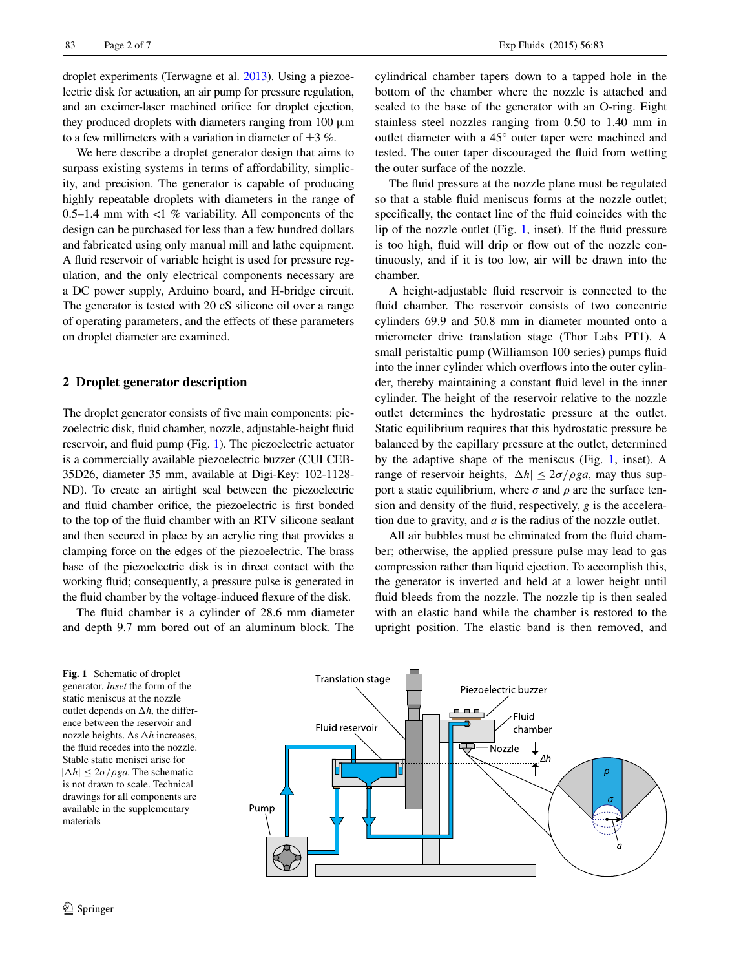droplet experiments (Terwagne et al. [2013](#page-6-19)). Using a piezoelectric disk for actuation, an air pump for pressure regulation, and an excimer-laser machined orifice for droplet ejection, they produced droplets with diameters ranging from  $100 \mu m$ to a few millimeters with a variation in diameter of  $\pm 3$  %.

We here describe a droplet generator design that aims to surpass existing systems in terms of affordability, simplicity, and precision. The generator is capable of producing highly repeatable droplets with diameters in the range of 0.5–1.4 mm with  $\lt 1$  % variability. All components of the design can be purchased for less than a few hundred dollars and fabricated using only manual mill and lathe equipment. A fluid reservoir of variable height is used for pressure regulation, and the only electrical components necessary are a DC power supply, Arduino board, and H-bridge circuit. The generator is tested with 20 cS silicone oil over a range of operating parameters, and the effects of these parameters on droplet diameter are examined.

#### **2 Droplet generator description**

The droplet generator consists of five main components: piezoelectric disk, fluid chamber, nozzle, adjustable-height fluid reservoir, and fluid pump (Fig. [1](#page-1-0)). The piezoelectric actuator is a commercially available piezoelectric buzzer (CUI CEB-35D26, diameter 35 mm, available at Digi-Key: 102-1128- ND). To create an airtight seal between the piezoelectric and fluid chamber orifice, the piezoelectric is first bonded to the top of the fluid chamber with an RTV silicone sealant and then secured in place by an acrylic ring that provides a clamping force on the edges of the piezoelectric. The brass base of the piezoelectric disk is in direct contact with the working fluid; consequently, a pressure pulse is generated in the fluid chamber by the voltage-induced flexure of the disk.

The fluid chamber is a cylinder of 28.6 mm diameter and depth 9.7 mm bored out of an aluminum block. The

<span id="page-1-0"></span>**Fig. 1** Schematic of droplet generator. *Inset* the form of the static meniscus at the nozzle outlet depends on  $\Delta h$ , the difference between the reservoir and nozzle heights. As  $\Delta h$  increases, the fluid recedes into the nozzle. Stable static menisci arise for  $|\Delta h| \leq 2\sigma/\rho g a$ . The schematic is not drawn to scale. Technical drawings for all components are

available in the supplementary

materials

cylindrical chamber tapers down to a tapped hole in the bottom of the chamber where the nozzle is attached and sealed to the base of the generator with an O-ring. Eight stainless steel nozzles ranging from 0.50 to 1.40 mm in outlet diameter with a 45° outer taper were machined and tested. The outer taper discouraged the fluid from wetting the outer surface of the nozzle.

The fluid pressure at the nozzle plane must be regulated so that a stable fluid meniscus forms at the nozzle outlet; specifically, the contact line of the fluid coincides with the lip of the nozzle outlet (Fig. [1](#page-1-0), inset). If the fluid pressure is too high, fluid will drip or flow out of the nozzle continuously, and if it is too low, air will be drawn into the chamber.

A height-adjustable fluid reservoir is connected to the fluid chamber. The reservoir consists of two concentric cylinders 69.9 and 50.8 mm in diameter mounted onto a micrometer drive translation stage (Thor Labs PT1). A small peristaltic pump (Williamson 100 series) pumps fluid into the inner cylinder which overflows into the outer cylinder, thereby maintaining a constant fluid level in the inner cylinder. The height of the reservoir relative to the nozzle outlet determines the hydrostatic pressure at the outlet. Static equilibrium requires that this hydrostatic pressure be balanced by the capillary pressure at the outlet, determined by the adaptive shape of the meniscus (Fig. [1,](#page-1-0) inset). A range of reservoir heights,  $|\Delta h| \leq 2\sigma/\rho g a$ , may thus support a static equilibrium, where  $\sigma$  and  $\rho$  are the surface tension and density of the fluid, respectively, *g* is the acceleration due to gravity, and *a* is the radius of the nozzle outlet.

All air bubbles must be eliminated from the fluid chamber; otherwise, the applied pressure pulse may lead to gas compression rather than liquid ejection. To accomplish this, the generator is inverted and held at a lower height until fluid bleeds from the nozzle. The nozzle tip is then sealed with an elastic band while the chamber is restored to the upright position. The elastic band is then removed, and

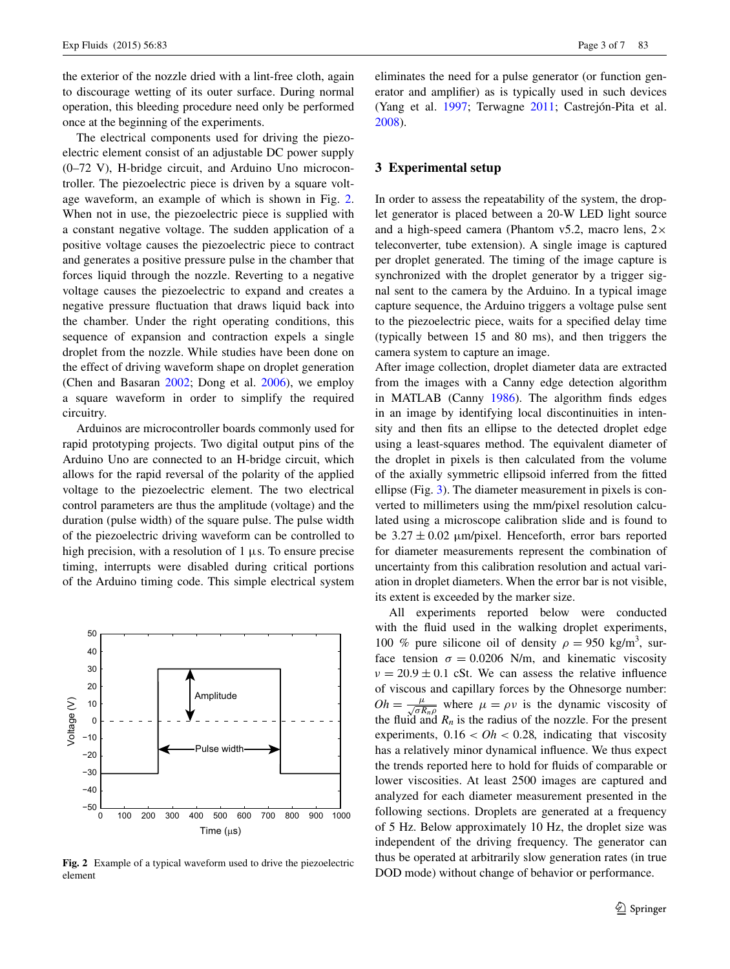the exterior of the nozzle dried with a lint-free cloth, again to discourage wetting of its outer surface. During normal operation, this bleeding procedure need only be performed once at the beginning of the experiments.

The electrical components used for driving the piezoelectric element consist of an adjustable DC power supply (0–72 V), H-bridge circuit, and Arduino Uno microcontroller. The piezoelectric piece is driven by a square voltage waveform, an example of which is shown in Fig. [2.](#page-2-0) When not in use, the piezoelectric piece is supplied with a constant negative voltage. The sudden application of a positive voltage causes the piezoelectric piece to contract and generates a positive pressure pulse in the chamber that forces liquid through the nozzle. Reverting to a negative voltage causes the piezoelectric to expand and creates a negative pressure fluctuation that draws liquid back into the chamber. Under the right operating conditions, this sequence of expansion and contraction expels a single droplet from the nozzle. While studies have been done on the effect of driving waveform shape on droplet generation (Chen and Basaran [2002;](#page-5-1) Dong et al. [2006](#page-6-6)), we employ a square waveform in order to simplify the required circuitry.

Arduinos are microcontroller boards commonly used for rapid prototyping projects. Two digital output pins of the Arduino Uno are connected to an H-bridge circuit, which allows for the rapid reversal of the polarity of the applied voltage to the piezoelectric element. The two electrical control parameters are thus the amplitude (voltage) and the duration (pulse width) of the square pulse. The pulse width of the piezoelectric driving waveform can be controlled to high precision, with a resolution of  $1 \mu s$ . To ensure precise timing, interrupts were disabled during critical portions of the Arduino timing code. This simple electrical system



<span id="page-2-0"></span>**Fig. 2** Example of a typical waveform used to drive the piezoelectric element

eliminates the need for a pulse generator (or function generator and amplifier) as is typically used in such devices (Yang et al. [1997](#page-6-10); Terwagne [2011;](#page-6-13) Castrejón-Pita et al. [2008](#page-5-2)).

#### **3 Experimental setup**

In order to assess the repeatability of the system, the droplet generator is placed between a 20-W LED light source and a high-speed camera (Phantom v5.2, macro lens,  $2 \times$ teleconverter, tube extension). A single image is captured per droplet generated. The timing of the image capture is synchronized with the droplet generator by a trigger signal sent to the camera by the Arduino. In a typical image capture sequence, the Arduino triggers a voltage pulse sent to the piezoelectric piece, waits for a specified delay time (typically between 15 and 80 ms), and then triggers the camera system to capture an image.

After image collection, droplet diameter data are extracted from the images with a Canny edge detection algorithm in MATLAB (Canny [1986](#page-5-4)). The algorithm finds edges in an image by identifying local discontinuities in intensity and then fits an ellipse to the detected droplet edge using a least-squares method. The equivalent diameter of the droplet in pixels is then calculated from the volume of the axially symmetric ellipsoid inferred from the fitted ellipse (Fig. [3](#page-3-0)). The diameter measurement in pixels is converted to millimeters using the mm/pixel resolution calculated using a microscope calibration slide and is found to be  $3.27 \pm 0.02$  µm/pixel. Henceforth, error bars reported for diameter measurements represent the combination of uncertainty from this calibration resolution and actual variation in droplet diameters. When the error bar is not visible, its extent is exceeded by the marker size.

All experiments reported below were conducted with the fluid used in the walking droplet experiments, 100 % pure silicone oil of density  $\rho = 950 \text{ kg/m}^3$ , surface tension  $\sigma = 0.0206$  N/m, and kinematic viscosity  $v = 20.9 \pm 0.1$  cSt. We can assess the relative influence of viscous and capillary forces by the Ohnesorge number:  $Oh = \frac{\mu}{\sqrt{\sigma R_n \rho}}$  where  $\mu = \rho \nu$  is the dynamic viscosity of the fluid and  $R_n$  is the radius of the nozzle. For the present experiments,  $0.16 < Oh < 0.28$ , indicating that viscosity has a relatively minor dynamical influence. We thus expect the trends reported here to hold for fluids of comparable or lower viscosities. At least 2500 images are captured and analyzed for each diameter measurement presented in the following sections. Droplets are generated at a frequency of 5 Hz. Below approximately 10 Hz, the droplet size was independent of the driving frequency. The generator can thus be operated at arbitrarily slow generation rates (in true DOD mode) without change of behavior or performance.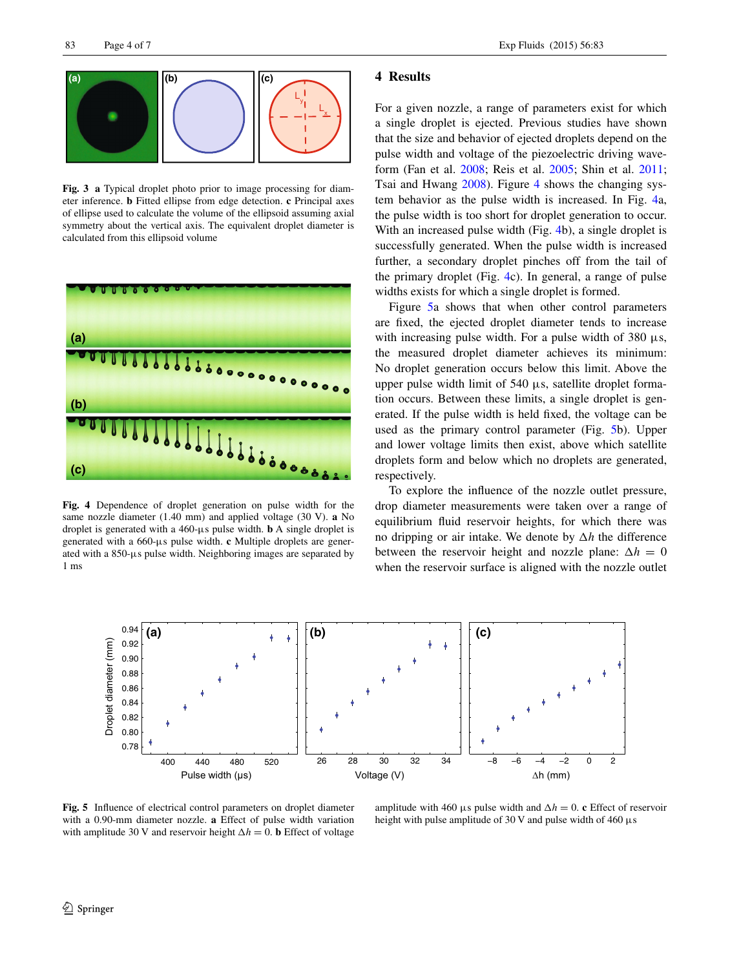

<span id="page-3-0"></span>**Fig. 3 a** Typical droplet photo prior to image processing for diameter inference. **b** Fitted ellipse from edge detection. **c** Principal axes of ellipse used to calculate the volume of the ellipsoid assuming axial symmetry about the vertical axis. The equivalent droplet diameter is calculated from this ellipsoid volume



<span id="page-3-1"></span>**Fig. 4** Dependence of droplet generation on pulse width for the same nozzle diameter (1.40 mm) and applied voltage (30 V). **a** No droplet is generated with a 460-μs pulse width. **b** A single droplet is generated with a 660-μs pulse width. **c** Multiple droplets are generated with a 850-μs pulse width. Neighboring images are separated by 1 ms

#### **4 Results**

For a given nozzle, a range of parameters exist for which a single droplet is ejected. Previous studies have shown that the size and behavior of ejected droplets depend on the pulse width and voltage of the piezoelectric driving waveform (Fan et al. [2008;](#page-6-0) Reis et al. [2005](#page-6-1); Shin et al. [2011](#page-6-20); Tsai and Hwang [2008\)](#page-6-21). Figure [4](#page-3-1) shows the changing system behavior as the pulse width is increased. In Fig. [4](#page-3-1)a, the pulse width is too short for droplet generation to occur. With an increased pulse width (Fig. [4](#page-3-1)b), a single droplet is successfully generated. When the pulse width is increased further, a secondary droplet pinches off from the tail of the primary droplet (Fig. [4c](#page-3-1)). In general, a range of pulse widths exists for which a single droplet is formed.

Figure [5a](#page-3-2) shows that when other control parameters are fixed, the ejected droplet diameter tends to increase with increasing pulse width. For a pulse width of  $380 \mu s$ , the measured droplet diameter achieves its minimum: No droplet generation occurs below this limit. Above the upper pulse width limit of 540 μs, satellite droplet formation occurs. Between these limits, a single droplet is generated. If the pulse width is held fixed, the voltage can be used as the primary control parameter (Fig. [5b](#page-3-2)). Upper and lower voltage limits then exist, above which satellite droplets form and below which no droplets are generated, respectively.

To explore the influence of the nozzle outlet pressure, drop diameter measurements were taken over a range of equilibrium fluid reservoir heights, for which there was no dripping or air intake. We denote by  $\Delta h$  the difference between the reservoir height and nozzle plane:  $\Delta h = 0$ when the reservoir surface is aligned with the nozzle outlet



<span id="page-3-2"></span>**Fig. 5** Influence of electrical control parameters on droplet diameter with a 0.90-mm diameter nozzle. **a** Effect of pulse width variation with amplitude 30 V and reservoir height  $\Delta h = 0$ . **b** Effect of voltage

amplitude with 460 μs pulse width and  $\Delta h = 0$ . **c** Effect of reservoir height with pulse amplitude of 30 V and pulse width of 460  $\mu$ s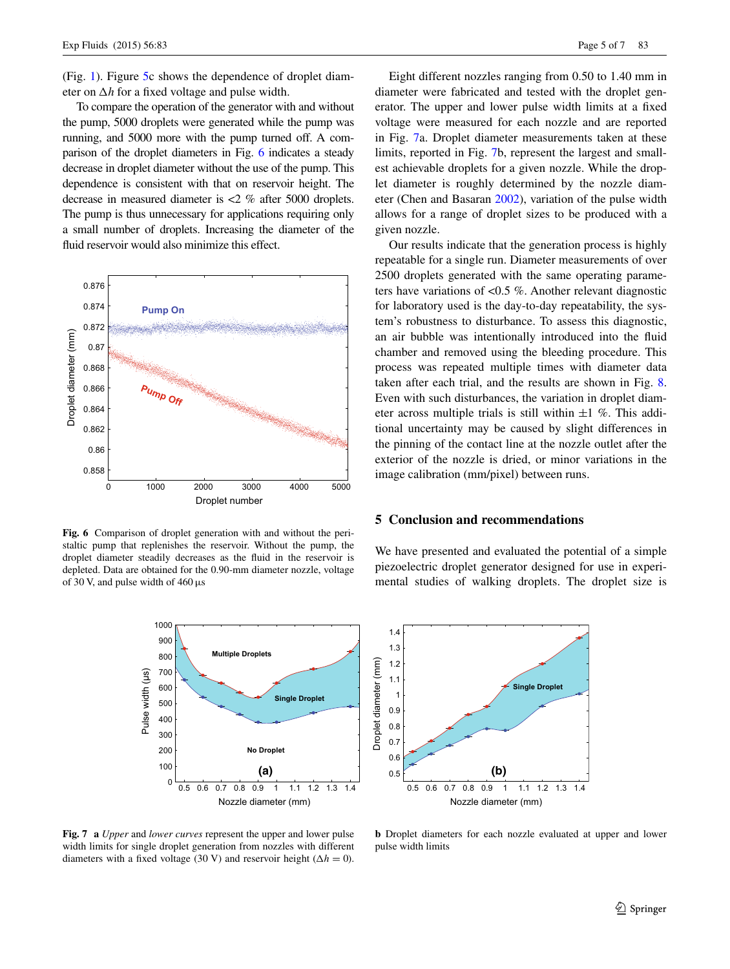(Fig. [1](#page-1-0)). Figure [5c](#page-3-2) shows the dependence of droplet diameter on  $\Delta h$  for a fixed voltage and pulse width.

To compare the operation of the generator with and without the pump, 5000 droplets were generated while the pump was running, and 5000 more with the pump turned off. A comparison of the droplet diameters in Fig. [6](#page-4-0) indicates a steady decrease in droplet diameter without the use of the pump. This dependence is consistent with that on reservoir height. The decrease in measured diameter is <2 % after 5000 droplets. The pump is thus unnecessary for applications requiring only a small number of droplets. Increasing the diameter of the fluid reservoir would also minimize this effect.



<span id="page-4-0"></span>**Fig. 6** Comparison of droplet generation with and without the peristaltic pump that replenishes the reservoir. Without the pump, the droplet diameter steadily decreases as the fluid in the reservoir is depleted. Data are obtained for the 0.90-mm diameter nozzle, voltage of 30 V, and pulse width of 460 µs



<span id="page-4-1"></span>**Fig. 7 a** *Upper* and *lower curves* represent the upper and lower pulse width limits for single droplet generation from nozzles with different diameters with a fixed voltage (30 V) and reservoir height ( $\Delta h = 0$ ).

Eight different nozzles ranging from 0.50 to 1.40 mm in diameter were fabricated and tested with the droplet generator. The upper and lower pulse width limits at a fixed voltage were measured for each nozzle and are reported in Fig. [7](#page-4-1)a. Droplet diameter measurements taken at these limits, reported in Fig. [7](#page-4-1)b, represent the largest and smallest achievable droplets for a given nozzle. While the droplet diameter is roughly determined by the nozzle diameter (Chen and Basaran [2002\)](#page-5-1), variation of the pulse width allows for a range of droplet sizes to be produced with a given nozzle.

Our results indicate that the generation process is highly repeatable for a single run. Diameter measurements of over 2500 droplets generated with the same operating parameters have variations of <0.5 %. Another relevant diagnostic for laboratory used is the day-to-day repeatability, the system's robustness to disturbance. To assess this diagnostic, an air bubble was intentionally introduced into the fluid chamber and removed using the bleeding procedure. This process was repeated multiple times with diameter data taken after each trial, and the results are shown in Fig. [8.](#page-5-5) Even with such disturbances, the variation in droplet diameter across multiple trials is still within  $\pm 1$  %. This additional uncertainty may be caused by slight differences in the pinning of the contact line at the nozzle outlet after the exterior of the nozzle is dried, or minor variations in the image calibration (mm/pixel) between runs.

### **5 Conclusion and recommendations**

We have presented and evaluated the potential of a simple piezoelectric droplet generator designed for use in experimental studies of walking droplets. The droplet size is



**b** Droplet diameters for each nozzle evaluated at upper and lower pulse width limits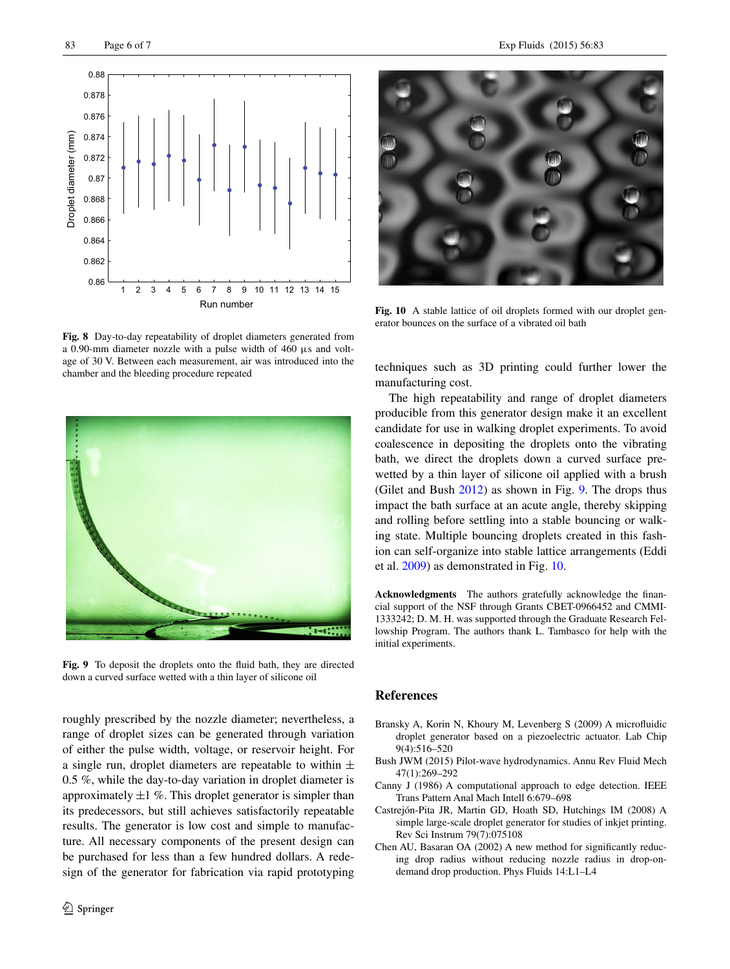

<span id="page-5-5"></span>**Fig. 8** Day-to-day repeatability of droplet diameters generated from a 0.90-mm diameter nozzle with a pulse width of 460 μs and voltage of 30 V. Between each measurement, air was introduced into the chamber and the bleeding procedure repeated



**Fig. 9** To deposit the droplets onto the fluid bath, they are directed down a curved surface wetted with a thin layer of silicone oil

<span id="page-5-6"></span>roughly prescribed by the nozzle diameter; nevertheless, a range of droplet sizes can be generated through variation of either the pulse width, voltage, or reservoir height. For a single run, droplet diameters are repeatable to within  $\pm$ 0.5 %, while the day-to-day variation in droplet diameter is approximately  $\pm 1$  %. This droplet generator is simpler than its predecessors, but still achieves satisfactorily repeatable results. The generator is low cost and simple to manufacture. All necessary components of the present design can be purchased for less than a few hundred dollars. A redesign of the generator for fabrication via rapid prototyping



**Fig. 10** A stable lattice of oil droplets formed with our droplet generator bounces on the surface of a vibrated oil bath

<span id="page-5-7"></span>techniques such as 3D printing could further lower the manufacturing cost.

The high repeatability and range of droplet diameters producible from this generator design make it an excellent candidate for use in walking droplet experiments. To avoid coalescence in depositing the droplets onto the vibrating bath, we direct the droplets down a curved surface prewetted by a thin layer of silicone oil applied with a brush (Gilet and Bush [2012\)](#page-6-22) as shown in Fig. [9](#page-5-6). The drops thus impact the bath surface at an acute angle, thereby skipping and rolling before settling into a stable bouncing or walking state. Multiple bouncing droplets created in this fashion can self-organize into stable lattice arrangements (Eddi et al. [2009](#page-6-23)) as demonstrated in Fig. [10.](#page-5-7)

**Acknowledgments** The authors gratefully acknowledge the financial support of the NSF through Grants CBET-0966452 and CMMI-1333242; D. M. H. was supported through the Graduate Research Fellowship Program. The authors thank L. Tambasco for help with the initial experiments.

### **References**

- <span id="page-5-0"></span>Bransky A, Korin N, Khoury M, Levenberg S (2009) A microfluidic droplet generator based on a piezoelectric actuator. Lab Chip 9(4):516–520
- <span id="page-5-3"></span>Bush JWM (2015) Pilot-wave hydrodynamics. Annu Rev Fluid Mech 47(1):269–292
- <span id="page-5-4"></span>Canny J (1986) A computational approach to edge detection. IEEE Trans Pattern Anal Mach Intell 6:679–698
- <span id="page-5-2"></span>Castrejón-Pita JR, Martin GD, Hoath SD, Hutchings IM (2008) A simple large-scale droplet generator for studies of inkjet printing. Rev Sci Instrum 79(7):075108
- <span id="page-5-1"></span>Chen AU, Basaran OA (2002) A new method for significantly reducing drop radius without reducing nozzle radius in drop-ondemand drop production. Phys Fluids 14:L1–L4